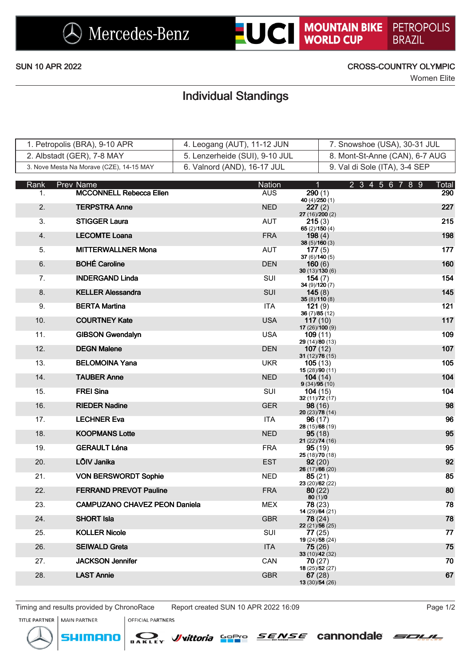

### SUN 10 APR 2022 CROSS-COUNTRY OLYMPIC

Women Elite

# Individual Standings

| 1. Petropolis (BRA), 9-10 APR            | 4. Leogang (AUT), 11-12 JUN    | 7. Snowshoe (USA), 30-31 JUL   |
|------------------------------------------|--------------------------------|--------------------------------|
| 2. Albstadt (GER), 7-8 MAY               | 5. Lenzerheide (SUI), 9-10 JUL | 8. Mont-St-Anne (CAN), 6-7 AUG |
| 3. Nove Mesta Na Morave (CZE), 14-15 MAY | 6. Valnord (AND), 16-17 JUL    | 9. Val di Sole (ITA), 3-4 SEP  |

| Rank | Prev Name                            | <b>Nation</b> | $\mathbf{1}$                | 2 3 4 5 6 7 8 9 | Total |
|------|--------------------------------------|---------------|-----------------------------|-----------------|-------|
| 1.   | <b>MCCONNELL Rebecca Ellen</b>       | <b>AUS</b>    | 290(1)<br>40 $(4)/250(1)$   |                 | 290   |
| 2.   | <b>TERPSTRA Anne</b>                 | <b>NED</b>    | 227(2)<br>27 (16)/200 (2)   |                 | 227   |
| 3.   | <b>STIGGER Laura</b>                 | AUT           | 215(3)<br>65 $(2)/150(4)$   |                 | 215   |
| 4.   | <b>LECOMTE Loana</b>                 | <b>FRA</b>    | 198 $(4)$<br>38(5)/160(3)   |                 | 198   |
| 5.   | <b>MITTERWALLNER Mona</b>            | AUT           | 177(5)<br>37(6)/140(5)      |                 | 177   |
| 6.   | <b>BOHÉ Caroline</b>                 | <b>DEN</b>    | 160(6)                      |                 | 160   |
| 7.   | <b>INDERGAND Linda</b>               | <b>SUI</b>    | 30(13)/130(6)<br>154(7)     |                 | 154   |
| 8.   | <b>KELLER Alessandra</b>             | <b>SUI</b>    | 34(9)/120(7)<br>145(8)      |                 | 145   |
| 9.   | <b>BERTA Martina</b>                 | <b>ITA</b>    | 35(8)/110(8)<br>121(9)      |                 | 121   |
| 10.  | <b>COURTNEY Kate</b>                 | <b>USA</b>    | 36(7)/85(12)<br>117(10)     |                 | 117   |
| 11.  | <b>GIBSON Gwendalyn</b>              | <b>USA</b>    | 17 (26)/100 (9)<br>109(11)  |                 | 109   |
| 12.  | <b>DEGN Malene</b>                   | <b>DEN</b>    | 29 (14)/80 (13)<br>107(12)  |                 | 107   |
| 13.  | <b>BELOMOINA Yana</b>                | <b>UKR</b>    | 31 $(12)/76(15)$<br>105(13) |                 | 105   |
| 14.  | <b>TAUBER Anne</b>                   | <b>NED</b>    | 15 (28)/90 (11)<br>104(14)  |                 | 104   |
| 15.  | <b>FREI Sina</b>                     | <b>SUI</b>    | 9(34)/95(10)<br>104(15)     |                 | 104   |
| 16.  | <b>RIEDER Nadine</b>                 | <b>GER</b>    | 32(11)/72(17)<br>98(16)     |                 | 98    |
| 17.  | <b>LECHNER Eva</b>                   | <b>ITA</b>    | 20 (23)/78 (14)<br>96(17)   |                 | 96    |
| 18.  | <b>KOOPMANS Lotte</b>                | <b>NED</b>    | 28 (15)/68 (19)<br>95(18)   |                 | 95    |
| 19.  | <b>GERAULT Léna</b>                  | <b>FRA</b>    | 21(22)/74(16)<br>95(19)     |                 | 95    |
| 20.  | LÕIV Janika                          | <b>EST</b>    | 25 (18)/70 (18)<br>92(20)   |                 | 92    |
| 21.  | <b>VON BERSWORDT Sophie</b>          | <b>NED</b>    | 26(17)/66(20)<br>85(21)     |                 | 85    |
| 22.  | <b>FERRAND PREVOT Pauline</b>        | <b>FRA</b>    | 23 (20)/62 (22)<br>80(22)   |                 | 80    |
| 23.  | <b>CAMPUZANO CHAVEZ PEON Daniela</b> | <b>MEX</b>    | 80(1)/0<br>78(23)           |                 | 78    |
| 24.  | <b>SHORT Isla</b>                    | <b>GBR</b>    | 14 (29)/64 (21)<br>78 (24)  |                 | 78    |
| 25.  | <b>KOLLER Nicole</b>                 | SUI           | 22 (21)/56 (25)<br>77(25)   |                 | 77    |
| 26.  | <b>SEIWALD Greta</b>                 | <b>ITA</b>    | 19 (24)/58 (24)<br>75(26)   |                 | 75    |
| 27.  | <b>JACKSON Jennifer</b>              | <b>CAN</b>    | 33 (10)/42 (32)<br>70(27)   |                 | 70    |
| 28.  | <b>LAST Annie</b>                    | <b>GBR</b>    | 18 (25)/52 (27)<br>67(28)   |                 | 67    |
|      |                                      |               | 13 (30)/54 (26)             |                 |       |

Timing and results provided by ChronoRace Report created SUN 10 APR 2022 16:09 Page 1/2



**MAIN PARTNER** 

menc

SI